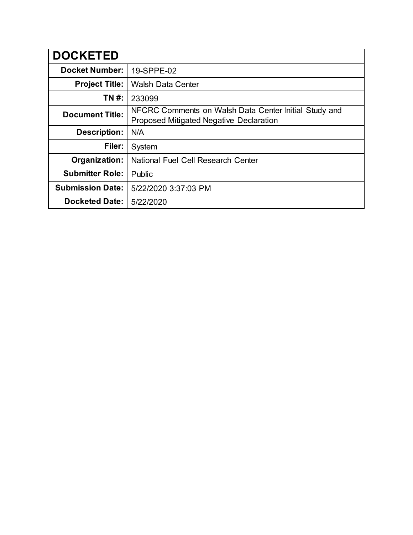| <b>DOCKETED</b>         |                                                                                                  |
|-------------------------|--------------------------------------------------------------------------------------------------|
| <b>Docket Number:</b>   | 19-SPPE-02                                                                                       |
| <b>Project Title:</b>   | <b>Walsh Data Center</b>                                                                         |
| TN #:                   | 233099                                                                                           |
| <b>Document Title:</b>  | NFCRC Comments on Walsh Data Center Initial Study and<br>Proposed Mitigated Negative Declaration |
| <b>Description:</b>     | N/A                                                                                              |
| Filer:                  | System                                                                                           |
| Organization:           | National Fuel Cell Research Center                                                               |
| <b>Submitter Role:</b>  | Public                                                                                           |
| <b>Submission Date:</b> | 5/22/2020 3:37:03 PM                                                                             |
| <b>Docketed Date:</b>   | 5/22/2020                                                                                        |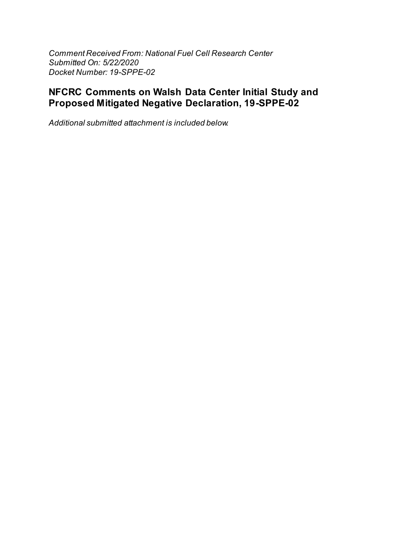*Comment Received From: National Fuel Cell Research Center Submitted On: 5/22/2020 Docket Number: 19-SPPE-02*

## **NFCRC Comments on Walsh Data Center Initial Study and Proposed Mitigated Negative Declaration, 19-SPPE-02**

*Additional submitted attachment is included below.*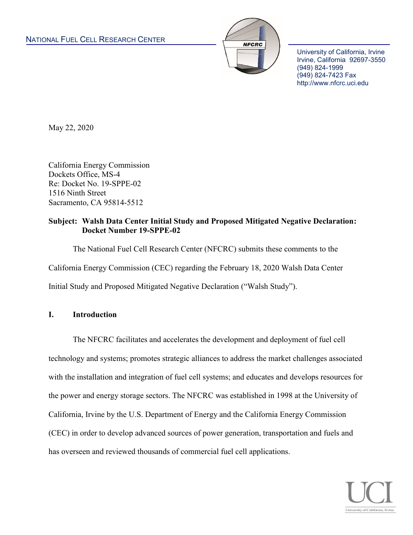

University of California, Irvine Irvine, California 92697-3550 (949) 824-1999 (949) 824-7423 Fax http://www.nfcrc.uci.edu

May 22, 2020

California Energy Commission Dockets Office, MS-4 Re: Docket No. 19-SPPE-02 1516 Ninth Street Sacramento, CA 95814-5512

### **Subject: Walsh Data Center Initial Study and Proposed Mitigated Negative Declaration: Docket Number 19-SPPE-02**

The National Fuel Cell Research Center (NFCRC) submits these comments to the California Energy Commission (CEC) regarding the February 18, 2020 Walsh Data Center Initial Study and Proposed Mitigated Negative Declaration ("Walsh Study").

## **I. Introduction**

The NFCRC facilitates and accelerates the development and deployment of fuel cell technology and systems; promotes strategic alliances to address the market challenges associated with the installation and integration of fuel cell systems; and educates and develops resources for the power and energy storage sectors. The NFCRC was established in 1998 at the University of California, Irvine by the U.S. Department of Energy and the California Energy Commission (CEC) in order to develop advanced sources of power generation, transportation and fuels and has overseen and reviewed thousands of commercial fuel cell applications.

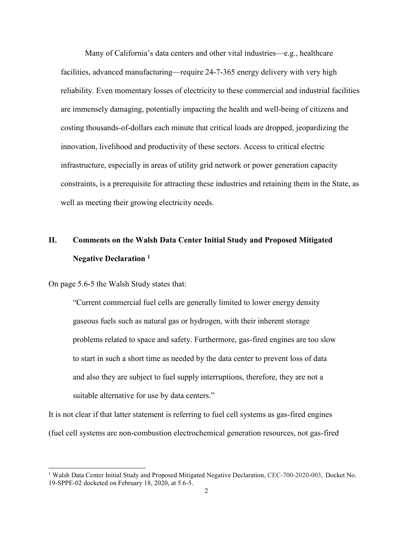Many of California's data centers and other vital industries—e.g., healthcare facilities, advanced manufacturing—require 24-7-365 energy delivery with very high reliability. Even momentary losses of electricity to these commercial and industrial facilities are immensely damaging, potentially impacting the health and well-being of citizens and costing thousands-of-dollars each minute that critical loads are dropped, jeopardizing the innovation, livelihood and productivity of these sectors. Access to critical electric infrastructure, especially in areas of utility grid network or power generation capacity constraints, is a prerequisite for attracting these industries and retaining them in the State, as well as meeting their growing electricity needs.

# **II. Comments on the Walsh Data Center Initial Study and Proposed Mitigated Negative Declaration <sup>1</sup>**

On page 5.6-5 the Walsh Study states that:

 $\overline{a}$ 

"Current commercial fuel cells are generally limited to lower energy density gaseous fuels such as natural gas or hydrogen, with their inherent storage problems related to space and safety. Furthermore, gas-fired engines are too slow to start in such a short time as needed by the data center to prevent loss of data and also they are subject to fuel supply interruptions, therefore, they are not a suitable alternative for use by data centers."

It is not clear if that latter statement is referring to fuel cell systems as gas-fired engines (fuel cell systems are non-combustion electrochemical generation resources, not gas-fired

<sup>&</sup>lt;sup>1</sup> Walsh Data Center Initial Study and Proposed Mitigated Negative Declaration, CEC-700-2020-003, Docket No. 19-SPPE-02 docketed on February 18, 2020, at 5.6-5.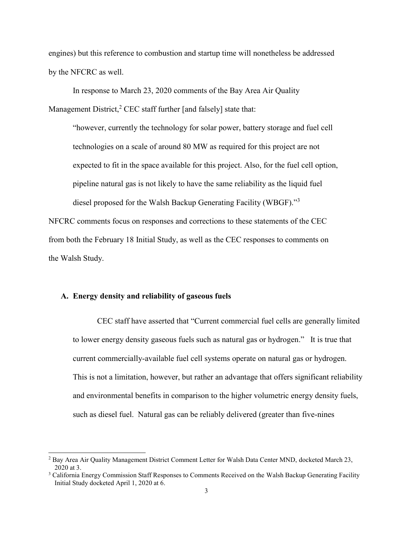engines) but this reference to combustion and startup time will nonetheless be addressed by the NFCRC as well.

In response to March 23, 2020 comments of the Bay Area Air Quality Management District, ${}^{2}$  CEC staff further [and falsely] state that:

"however, currently the technology for solar power, battery storage and fuel cell technologies on a scale of around 80 MW as required for this project are not expected to fit in the space available for this project. Also, for the fuel cell option, pipeline natural gas is not likely to have the same reliability as the liquid fuel diesel proposed for the Walsh Backup Generating Facility (WBGF)."<sup>3</sup>

NFCRC comments focus on responses and corrections to these statements of the CEC from both the February 18 Initial Study, as well as the CEC responses to comments on the Walsh Study.

#### **A. Energy density and reliability of gaseous fuels**

 $\overline{a}$ 

CEC staff have asserted that "Current commercial fuel cells are generally limited to lower energy density gaseous fuels such as natural gas or hydrogen." It is true that current commercially-available fuel cell systems operate on natural gas or hydrogen. This is not a limitation, however, but rather an advantage that offers significant reliability and environmental benefits in comparison to the higher volumetric energy density fuels, such as diesel fuel. Natural gas can be reliably delivered (greater than five-nines

<sup>&</sup>lt;sup>2</sup> Bay Area Air Quality Management District Comment Letter for Walsh Data Center MND, docketed March 23, 2020 at 3.

<sup>&</sup>lt;sup>3</sup> California Energy Commission Staff Responses to Comments Received on the Walsh Backup Generating Facility Initial Study docketed April 1, 2020 at 6.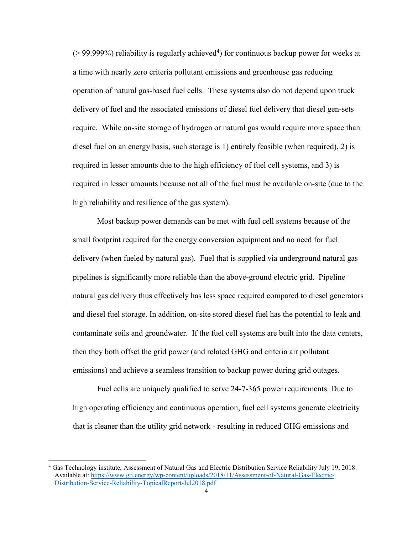$($  > 99.999%) reliability is regularly achieved<sup>4</sup>) for continuous backup power for weeks at a time with nearly zero criteria pollutant emissions and greenhouse gas reducing operation of natural gas-based fuel cells. These systems also do not depend upon truck delivery of fuel and the associated emissions of diesel fuel delivery that diesel gen-sets require. While on-site storage of hydrogen or natural gas would require more space than diesel fuel on an energy basis, such storage is 1) entirely feasible (when required), 2) is required in lesser amounts due to the high efficiency of fuel cell systems, and 3) is required in lesser amounts because not all of the fuel must be available on-site (due to the high reliability and resilience of the gas system).

Most backup power demands can be met with fuel cell systems because of the small footprint required for the energy conversion equipment and no need for fuel delivery (when fueled by natural gas). Fuel that is supplied via underground natural gas pipelines is significantly more reliable than the above-ground electric grid. Pipeline natural gas delivery thus effectively has less space required compared to diesel generators and diesel fuel storage. In addition, on-site stored diesel fuel has the potential to leak and contaminate soils and groundwater. If the fuel cell systems are built into the data centers, then they both offset the grid power (and related GHG and criteria air pollutant emissions) and achieve a seamless transition to backup power during grid outages.

Fuel cells are uniquely qualified to serve 24-7-365 power requirements. Due to high operating efficiency and continuous operation, fuel cell systems generate electricity that is cleaner than the utility grid network - resulting in reduced GHG emissions and

<sup>4</sup> Gas Technology institute, Assessment of Natural Gas and Electric Distribution Service Reliability July 19, 2018. Available at: [https://www.gti.energy/wp-content/uploads/2018/11/Assessment-of-Natural-Gas-Electric-](https://www.gti.energy/wp-content/uploads/2018/11/Assessment-of-Natural-Gas-Electric-Distribution-Service-Reliability-TopicalReport-Jul2018.pdf)[Distribution-Service-Reliability-TopicalReport-Jul2018.pdf](https://www.gti.energy/wp-content/uploads/2018/11/Assessment-of-Natural-Gas-Electric-Distribution-Service-Reliability-TopicalReport-Jul2018.pdf)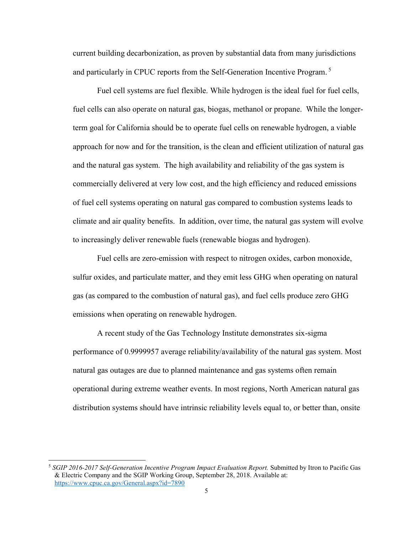current building decarbonization, as proven by substantial data from many jurisdictions and particularly in CPUC reports from the Self-Generation Incentive Program. 5

Fuel cell systems are fuel flexible. While hydrogen is the ideal fuel for fuel cells, fuel cells can also operate on natural gas, biogas, methanol or propane. While the longerterm goal for California should be to operate fuel cells on renewable hydrogen, a viable approach for now and for the transition, is the clean and efficient utilization of natural gas and the natural gas system. The high availability and reliability of the gas system is commercially delivered at very low cost, and the high efficiency and reduced emissions of fuel cell systems operating on natural gas compared to combustion systems leads to climate and air quality benefits. In addition, over time, the natural gas system will evolve to increasingly deliver renewable fuels (renewable biogas and hydrogen).

Fuel cells are zero-emission with respect to nitrogen oxides, carbon monoxide, sulfur oxides, and particulate matter, and they emit less GHG when operating on natural gas (as compared to the combustion of natural gas), and fuel cells produce zero GHG emissions when operating on renewable hydrogen.

A recent study of the Gas Technology Institute demonstrates six-sigma performance of 0.9999957 average reliability/availability of the natural gas system. Most natural gas outages are due to planned maintenance and gas systems often remain operational during extreme weather events. In most regions, North American natural gas distribution systems should have intrinsic reliability levels equal to, or better than, onsite

<sup>5</sup> *SGIP 2016-2017 Self-Generation Incentive Program Impact Evaluation Report.* Submitted by Itron to Pacific Gas & Electric Company and the SGIP Working Group, September 28, 2018. Available at: <https://www.cpuc.ca.gov/General.aspx?id=7890>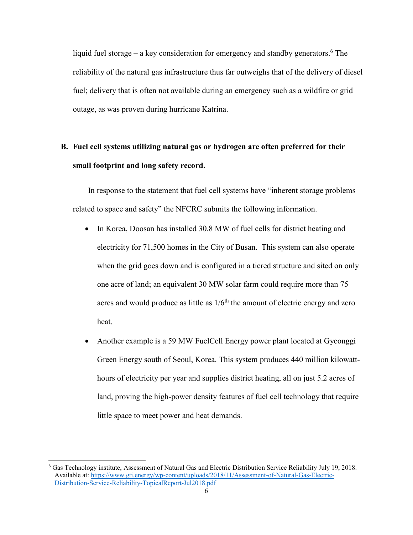liquid fuel storage – a key consideration for emergency and standby generators. <sup>6</sup> The reliability of the natural gas infrastructure thus far outweighs that of the delivery of diesel fuel; delivery that is often not available during an emergency such as a wildfire or grid outage, as was proven during hurricane Katrina.

# **B. Fuel cell systems utilizing natural gas or hydrogen are often preferred for their small footprint and long safety record.**

In response to the statement that fuel cell systems have "inherent storage problems related to space and safety" the NFCRC submits the following information.

- In Korea, Doosan has installed 30.8 MW of fuel cells for district heating and electricity for 71,500 homes in the City of Busan. This system can also operate when the grid goes down and is configured in a tiered structure and sited on only one acre of land; an equivalent 30 MW solar farm could require more than 75 acres and would produce as little as  $1/6<sup>th</sup>$  the amount of electric energy and zero heat.
- Another example is a 59 MW FuelCell Energy power plant located at Gyeonggi Green Energy south of Seoul, Korea. This system produces 440 million kilowatthours of electricity per year and supplies district heating, all on just 5.2 acres of land, proving the high-power density features of fuel cell technology that require little space to meet power and heat demands.

<sup>6</sup> Gas Technology institute, Assessment of Natural Gas and Electric Distribution Service Reliability July 19, 2018. Available at: [https://www.gti.energy/wp-content/uploads/2018/11/Assessment-of-Natural-Gas-Electric-](https://www.gti.energy/wp-content/uploads/2018/11/Assessment-of-Natural-Gas-Electric-Distribution-Service-Reliability-TopicalReport-Jul2018.pdf)[Distribution-Service-Reliability-TopicalReport-Jul2018.pdf](https://www.gti.energy/wp-content/uploads/2018/11/Assessment-of-Natural-Gas-Electric-Distribution-Service-Reliability-TopicalReport-Jul2018.pdf)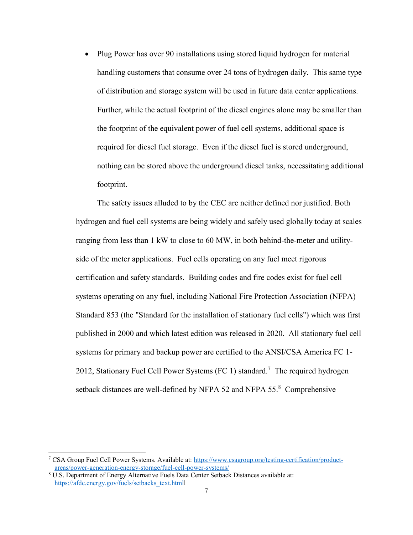• Plug Power has over 90 installations using stored liquid hydrogen for material handling customers that consume over 24 tons of hydrogen daily. This same type of distribution and storage system will be used in future data center applications. Further, while the actual footprint of the diesel engines alone may be smaller than the footprint of the equivalent power of fuel cell systems, additional space is required for diesel fuel storage. Even if the diesel fuel is stored underground, nothing can be stored above the underground diesel tanks, necessitating additional footprint.

The safety issues alluded to by the CEC are neither defined nor justified. Both hydrogen and fuel cell systems are being widely and safely used globally today at scales ranging from less than 1 kW to close to 60 MW, in both behind-the-meter and utilityside of the meter applications. Fuel cells operating on any fuel meet rigorous certification and safety standards. Building codes and fire codes exist for fuel cell systems operating on any fuel, including National Fire Protection Association (NFPA) Standard 853 (the "Standard for the installation of stationary fuel cells") which was first published in 2000 and which latest edition was released in 2020. All stationary fuel cell systems for primary and backup power are certified to the ANSI/CSA America FC 1- 2012, Stationary Fuel Cell Power Systems (FC 1) standard.<sup>7</sup> The required hydrogen setback distances are well-defined by NFPA 52 and NFPA 55.<sup>8</sup> Comprehensive

 $\overline{a}$ 

<sup>7</sup> CSA Group Fuel Cell Power Systems. Available at: [https://www.csagroup.org/testing-certification/product](https://www.csagroup.org/testing-certification/product-areas/power-generation-energy-storage/fuel-cell-power-systems/)[areas/power-generation-energy-storage/fuel-cell-power-systems/](https://www.csagroup.org/testing-certification/product-areas/power-generation-energy-storage/fuel-cell-power-systems/)

<sup>8</sup> U.S. Department of Energy Alternative Fuels Data Center Setback Distances available at: [https://afdc.energy.gov/fuels/setbacks\\_text.htmll](https://afdc.energy.gov/fuels/setbacks_text.html)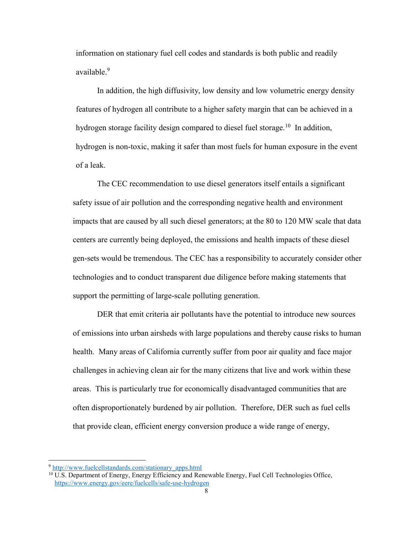information on stationary fuel cell codes and standards is both public and readily available.<sup>9</sup>

In addition, the high diffusivity, low density and low volumetric energy density features of hydrogen all contribute to a higher safety margin that can be achieved in a hydrogen storage facility design compared to diesel fuel storage.<sup>10</sup> In addition, hydrogen is non-toxic, making it safer than most fuels for human exposure in the event of a leak.

The CEC recommendation to use diesel generators itself entails a significant safety issue of air pollution and the corresponding negative health and environment impacts that are caused by all such diesel generators; at the 80 to 120 MW scale that data centers are currently being deployed, the emissions and health impacts of these diesel gen-sets would be tremendous. The CEC has a responsibility to accurately consider other technologies and to conduct transparent due diligence before making statements that support the permitting of large-scale polluting generation.

DER that emit criteria air pollutants have the potential to introduce new sources of emissions into urban airsheds with large populations and thereby cause risks to human health. Many areas of California currently suffer from poor air quality and face major challenges in achieving clean air for the many citizens that live and work within these areas. This is particularly true for economically disadvantaged communities that are often disproportionately burdened by air pollution. Therefore, DER such as fuel cells that provide clean, efficient energy conversion produce a wide range of energy,

<sup>9</sup> [http://www.fuelcellstandards.com/stationary\\_apps.html](http://www.fuelcellstandards.com/stationary_apps.html)

<sup>&</sup>lt;sup>10</sup> U.S. Department of Energy, Energy Efficiency and Renewable Energy, Fuel Cell Technologies Office, <https://www.energy.gov/eere/fuelcells/safe-use-hydrogen>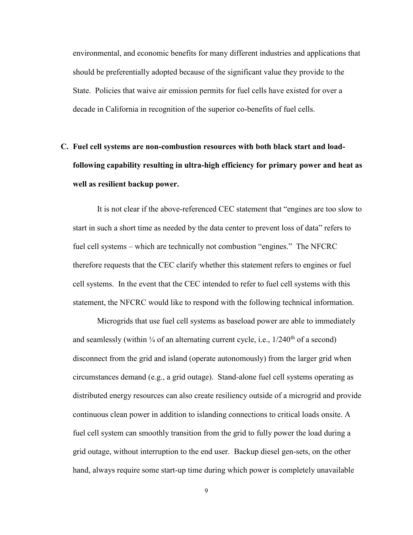environmental, and economic benefits for many different industries and applications that should be preferentially adopted because of the significant value they provide to the State. Policies that waive air emission permits for fuel cells have existed for over a decade in California in recognition of the superior co-benefits of fuel cells.

# **C. Fuel cell systems are non-combustion resources with both black start and loadfollowing capability resulting in ultra-high efficiency for primary power and heat as well as resilient backup power.**

It is not clear if the above-referenced CEC statement that "engines are too slow to start in such a short time as needed by the data center to prevent loss of data" refers to fuel cell systems – which are technically not combustion "engines." The NFCRC therefore requests that the CEC clarify whether this statement refers to engines or fuel cell systems. In the event that the CEC intended to refer to fuel cell systems with this statement, the NFCRC would like to respond with the following technical information.

Microgrids that use fuel cell systems as baseload power are able to immediately and seamlessly (within  $\frac{1}{4}$  of an alternating current cycle, i.e.,  $1/240^{\text{th}}$  of a second) disconnect from the grid and island (operate autonomously) from the larger grid when circumstances demand (e.g., a grid outage). Stand-alone fuel cell systems operating as distributed energy resources can also create resiliency outside of a microgrid and provide continuous clean power in addition to islanding connections to critical loads onsite. A fuel cell system can smoothly transition from the grid to fully power the load during a grid outage, without interruption to the end user. Backup diesel gen-sets, on the other hand, always require some start-up time during which power is completely unavailable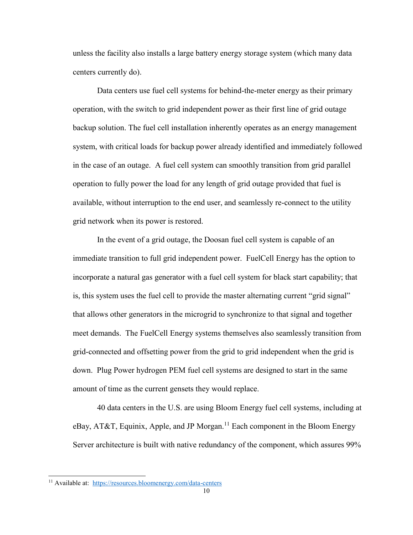unless the facility also installs a large battery energy storage system (which many data centers currently do).

Data centers use fuel cell systems for behind-the-meter energy as their primary operation, with the switch to grid independent power as their first line of grid outage backup solution. The fuel cell installation inherently operates as an energy management system, with critical loads for backup power already identified and immediately followed in the case of an outage. A fuel cell system can smoothly transition from grid parallel operation to fully power the load for any length of grid outage provided that fuel is available, without interruption to the end user, and seamlessly re-connect to the utility grid network when its power is restored.

In the event of a grid outage, the Doosan fuel cell system is capable of an immediate transition to full grid independent power. FuelCell Energy has the option to incorporate a natural gas generator with a fuel cell system for black start capability; that is, this system uses the fuel cell to provide the master alternating current "grid signal" that allows other generators in the microgrid to synchronize to that signal and together meet demands. The FuelCell Energy systems themselves also seamlessly transition from grid-connected and offsetting power from the grid to grid independent when the grid is down. Plug Power hydrogen PEM fuel cell systems are designed to start in the same amount of time as the current gensets they would replace.

40 data centers in the U.S. are using Bloom Energy fuel cell systems, including at  $e$ Bay, AT&T, Equinix, Apple, and JP Morgan.<sup>11</sup> Each component in the Bloom Energy Server architecture is built with native redundancy of the component, which assures 99%

 $\overline{a}$ 

<sup>11</sup> Available at: <https://resources.bloomenergy.com/data-centers>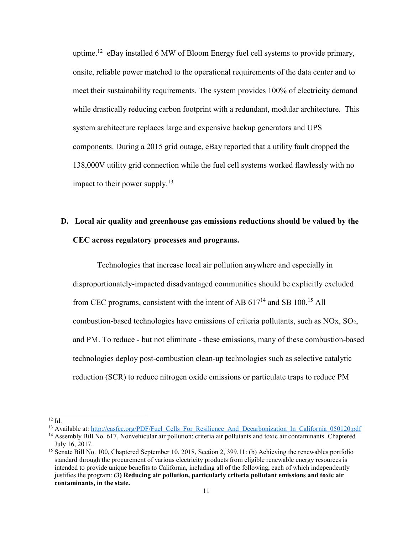uptime.<sup>12</sup> eBay installed 6 MW of Bloom Energy fuel cell systems to provide primary, onsite, reliable power matched to the operational requirements of the data center and to meet their sustainability requirements. The system provides 100% of electricity demand while drastically reducing carbon footprint with a redundant, modular architecture. This system architecture replaces large and expensive backup generators and UPS components. During a 2015 grid outage, eBay reported that a utility fault dropped the 138,000V utility grid connection while the fuel cell systems worked flawlessly with no impact to their power supply.<sup>13</sup>

# **D. Local air quality and greenhouse gas emissions reductions should be valued by the CEC across regulatory processes and programs.**

Technologies that increase local air pollution anywhere and especially in disproportionately-impacted disadvantaged communities should be explicitly excluded from CEC programs, consistent with the intent of AB  $617<sup>14</sup>$  and SB 100.<sup>15</sup> All combustion-based technologies have emissions of criteria pollutants, such as NOx, SO2, and PM. To reduce - but not eliminate - these emissions, many of these combustion-based technologies deploy post-combustion clean-up technologies such as selective catalytic reduction (SCR) to reduce nitrogen oxide emissions or particulate traps to reduce PM

 $12$  Id.

<sup>&</sup>lt;sup>13</sup> Available at: [http://casfcc.org/PDF/Fuel\\_Cells\\_For\\_Resilience\\_And\\_Decarbonization\\_In\\_California\\_050120.pdf](http://casfcc.org/PDF/Fuel_Cells_For_Resilience_And_Decarbonization_In_California_050120.pdf)

<sup>14</sup> Assembly Bill No. 617, Nonvehicular air pollution: criteria air pollutants and toxic air contaminants. Chaptered July 16, 2017.

<sup>&</sup>lt;sup>15</sup> Senate Bill No. 100, Chaptered September 10, 2018, Section 2, 399.11: (b) Achieving the renewables portfolio standard through the procurement of various electricity products from eligible renewable energy resources is intended to provide unique benefits to California, including all of the following, each of which independently justifies the program: **(3) Reducing air pollution, particularly criteria pollutant emissions and toxic air contaminants, in the state.**